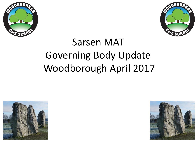



## Sarsen MAT Governing Body Update Woodborough April 2017



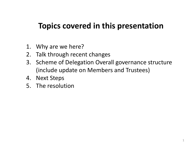### **Topics covered in this presentation**

- 1. Why are we here?
- 2. Talk through recent changes
- 3. Scheme of Delegation Overall governance structure (include update on Members and Trustees)
- 4. Next Steps
- 5. The resolution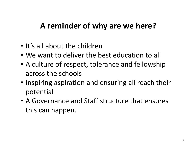### **A reminder of why are we here?**

- It's all about the children
- We want to deliver the best education to all
- A culture of respect, tolerance and fellowship across the schools
- Inspiring aspiration and ensuring all reach their potential
- A Governance and Staff structure that ensures this can happen.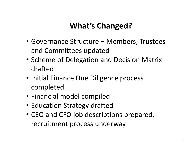### **What's Changed?**

- Governance Structure Members, Trustees and Committees updated
- Scheme of Delegation and Decision Matrix drafted
- Initial Finance Due Diligence process completed
- Financial model compiled
- Education Strategy drafted
- CEO and CFO job descriptions prepared, recruitment process underway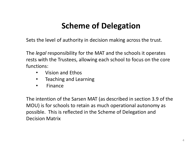## **Scheme of Delegation**

Sets the level of authority in decision making across the trust.

The *legal* responsibility for the MAT and the schools it operates rests with the Trustees, allowing each school to focus on the core functions:

- Vision and Ethos
- Teaching and Learning
- Finance

The intention of the Sarsen MAT (as described in section 3.9 of the MOU) is for schools to retain as much operational autonomy as possible. This is reflected in the Scheme of Delegation and Decision Matrix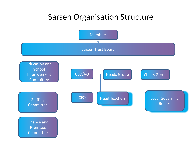### Sarsen Organisation Structure

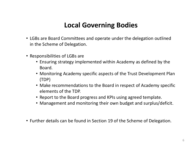#### **Local Governing Bodies**

- LGBs are Board Committees and operate under the delegation outlined in the Scheme of Delegation.
- Responsibilities of LGBs are
	- Ensuring strategy implemented within Academy as defined by the Board.
	- Monitoring Academy specific aspects of the Trust Development Plan (TDP)
	- Make recommendations to the Board in respect of Academy specific elements of the TDP.
	- Report to the Board progress and KPIs using agreed template.
	- Management and monitoring their own budget and surplus/deficit.
- Further details can be found in Section 19 of the Scheme of Delegation.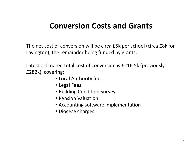### **Conversion Costs and Grants**

The net cost of conversion will be circa £5k per school (circa £8k for Lavington), the remainder being funded by grants.

Latest estimated total cost of conversion is £216.5k (previously £282k), covering:

- Local Authority fees
- Legal Fees
- Building Condition Survey
- Pension Valuation
- Accounting software implementation
- Diocese charges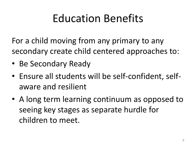# Education Benefits

For a child moving from any primary to any secondary create child centered approaches to:

- Be Secondary Ready
- Ensure all students will be self-confident, selfaware and resilient
- A long term learning continuum as opposed to seeing key stages as separate hurdle for children to meet.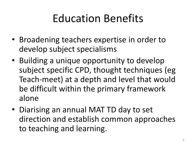# Education Benefits

- Broadening teachers expertise in order to develop subject specialisms
- Building a unique opportunity to develop subject specific CPD, thought techniques (eg Teach-meet) at a depth and level that would be difficult within the primary framework alone
- Diarising an annual MAT TD day to set direction and establish common approaches to teaching and learning.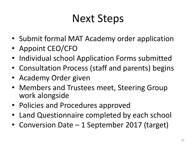# Next Steps

- Submit formal MAT Academy order application
- Appoint CEO/CFO
- Individual school Application Forms submitted
- Consultation Process (staff and parents) begins
- Academy Order given
- Members and Trustees meet, Steering Group work alongside
- Policies and Procedures approved
- Land Questionnaire completed by each school
- Conversion Date 1 September 2017 (target)